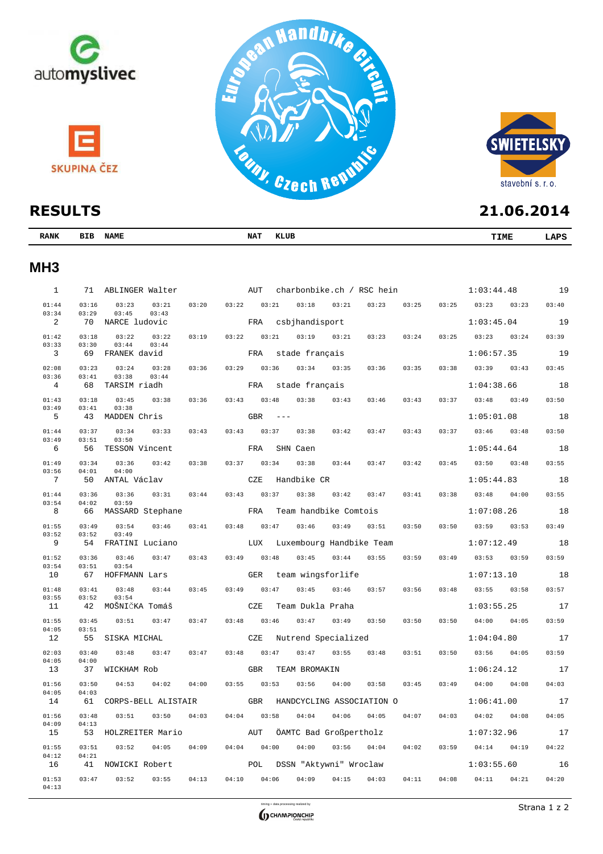



| 21.06.2014 |
|------------|
|            |

| <b>RANK</b>     | BIB   | <b>NAME</b>     |       |       |                                   | <b>NAT</b> | KLUB  |       |       |       |       |       | TIME       | LAPS  |  |
|-----------------|-------|-----------------|-------|-------|-----------------------------------|------------|-------|-------|-------|-------|-------|-------|------------|-------|--|
|                 |       |                 |       |       |                                   |            |       |       |       |       |       |       |            |       |  |
| MH <sub>3</sub> |       |                 |       |       |                                   |            |       |       |       |       |       |       |            |       |  |
| п.              | 71    | ABLINGER Walter |       |       | charbonbike.ch<br>RSC hein<br>AUT |            |       |       |       |       |       |       | 1:03:44.48 |       |  |
| 01:44           | 03:16 | 03:23           | 03:21 | 03:20 | 03:22                             | 03:21      | 03:18 | 03:21 | 03:23 | 03:25 | 03:25 | 03:23 | 03:23      | 03:40 |  |
| 03:34           | 03:29 | 03:45           | 03:43 |       |                                   |            |       |       |       |       |       |       |            |       |  |
| 2               | 70    | NARCE ludovic   |       |       | csbjhandisport<br>FRA             |            |       |       |       |       |       |       | 1:03:45.04 | 19    |  |
| 01:42           | 03:18 | 03:22           | 03:22 | 03:19 | 03:22                             | 03:21      | 03:19 | 03:21 | 03:23 | 03:24 | 03:25 | 03:23 | 03:24      | 03:39 |  |

| 03:33          | 03:30          | 03:22<br>03:44 | 03:22<br>03:44      | 03:19 | 03:22 | 03:21                 |                           | 03:19             | 03:21                    | 03:23 | 03:24 | 03:25 | 03:23      | 03:24            | 03:39 |
|----------------|----------------|----------------|---------------------|-------|-------|-----------------------|---------------------------|-------------------|--------------------------|-------|-------|-------|------------|------------------|-------|
| 3              | 69             | FRANEK david   |                     |       |       | FRA                   |                           | stade français    |                          |       |       |       | 1:06:57.35 |                  | 19    |
| 02:08<br>03:36 | 03:23<br>03:41 | 03:24<br>03:38 | 03:28<br>03:44      | 03:36 | 03:29 | 03:36                 |                           | 03:34             | 03:35                    | 03:36 | 03:35 | 03:38 | 03:39      | 03:43            | 03:45 |
| $\overline{4}$ | 68             | TARSIM riadh   |                     |       |       | stade français<br>FRA |                           |                   |                          |       |       |       |            | 1:04:38.66<br>18 |       |
| 01:43<br>03:49 | 03:18<br>03:41 | 03:45<br>03:38 | 03:38               | 03:36 | 03:43 | 03:48                 |                           | 03:38             | 03:43                    | 03:46 | 03:43 | 03:37 | 03:48      | 03:49            | 03:50 |
| 5              | 43             | MADDEN Chris   |                     |       |       | <b>GBR</b>            | $\frac{1}{2}$             |                   |                          |       |       |       | 1:05:01.08 |                  | 18    |
| 01:44          | 03:37          | 03:34          | 03:33               | 03:43 | 03:43 | 03:37                 |                           | 03:38             | 03:42                    | 03:47 | 03:43 | 03:37 | 03:46      | 03:48            | 03:50 |
| 03:49          | 03:51          | 03:50          |                     |       |       |                       |                           |                   |                          |       |       |       |            |                  | 18    |
| 6              | 56             | TESSON Vincent |                     |       |       | FRA                   |                           | SHN Caen          |                          |       |       |       | 1:05:44.64 |                  |       |
| 01:49<br>03:56 | 03:34<br>04:01 | 03:36<br>04:00 | 03:42               | 03:38 | 03:37 | 03:34                 |                           | 03:38             | 03:44                    | 03:47 | 03:42 | 03:45 | 03:50      | 03:48            | 03:55 |
| 7              | 50             | ANTAL Václav   |                     |       |       | CZE                   |                           | Handbike CR       |                          |       |       |       | 1:05:44.83 |                  | 18    |
| 01:44          | 03:36          | 03:36          | 03:31               | 03:44 | 03:43 | 03:37                 |                           | 03:38             | 03:42                    | 03:47 | 03:41 | 03:38 | 03:48      | 04:00            | 03:55 |
| 03:54<br>8     | 04:02<br>66    | 03:59          | MASSARD Stephane    |       |       | FRA                   |                           |                   | Team handbike Comtois    |       |       |       | 1:07:08.26 |                  | 18    |
| 01:55          | 03:49          | 03:54          | 03:46               | 03:41 | 03:48 | 03:47                 |                           | 03:46             | 03:49                    | 03:51 | 03:50 | 03:50 | 03:59      | 03:53            | 03:49 |
| 03:52          | 03:52          | 03:49          |                     |       |       |                       |                           |                   |                          |       |       |       |            |                  |       |
| 9              | 54             |                | FRATINI Luciano     |       |       | <b>LUX</b>            |                           |                   | Luxembourg Handbike Team |       |       |       | 1:07:12.49 |                  | 18    |
| 01:52<br>03:54 | 03:36<br>03:51 | 03:46<br>03:54 | 03:47               | 03:43 | 03:49 | 03:48                 |                           | 03:45             | 03:44                    | 03:55 | 03:59 | 03:49 | 03:53      | 03:59            | 03:59 |
| 10             | 67             | HOFFMANN Lars  |                     |       |       | <b>GER</b>            |                           | team wingsforlife |                          |       |       |       | 1:07:13.10 | 18               |       |
| 01:48          | 03:41          | 03:48          | 03:44               | 03:45 | 03:49 | 03:47                 |                           | 03:45             | 03:46                    | 03:57 | 03:56 | 03:48 | 03:55      | 03:58            | 03:57 |
| 03:55          | 03:52          | 03:54          |                     |       |       |                       |                           |                   |                          |       |       |       |            |                  |       |
| 11             | 42             | MOŠNIČKA Tomáš |                     |       |       | CZE                   |                           | Team Dukla Praha  |                          |       |       |       | 1:03:55.25 |                  | 17    |
| 01:55          | 03:45<br>03:51 | 03:51          | 03:47               | 03:47 | 03:48 | 03:46                 |                           | 03:47             | 03:49                    | 03:50 | 03:50 | 03:50 | 04:00      | 04:05            | 03:59 |
| 04:05<br>12    | 55             | SISKA MICHAL   |                     |       |       | CZE                   |                           |                   | Nutrend Specialized      |       |       |       | 1:04:04.80 |                  | 17    |
| 02:03          | 03:40          | 03:48          | 03:47               | 03:47 | 03:48 | 03:47                 |                           | 03:47             | 03:55                    | 03:48 | 03:51 | 03:50 | 03:56      | 04:05            | 03:59 |
| 04:05<br>13    | 04:00<br>37    |                |                     |       |       |                       |                           |                   |                          |       |       |       | 1:06:24.12 |                  | 17    |
|                |                | WICKHAM Rob    |                     |       |       | <b>GBR</b>            |                           | TEAM BROMAKIN     |                          |       |       |       |            |                  |       |
| 01:56<br>04:05 | 03:50<br>04:03 | 04:53          | 04:02               | 04:00 | 03:55 | 03:53                 |                           | 03:56             | 04:00                    | 03:58 | 03:45 | 03:49 | 04:00      | 04:08            | 04:03 |
| 14             | 61             |                | CORPS-BELL ALISTAIR |       |       | <b>GBR</b>            | HANDCYCLING ASSOCIATION O |                   |                          |       |       |       | 1:06:41.00 | 17               |       |
| 01:56          | 03:48          | 03:51          | 03:50               | 04:03 | 04:04 | 03:58                 |                           | 04:04             | 04:06                    | 04:05 | 04:07 | 04:03 | 04:02      | 04:08            | 04:05 |
| 04:09<br>15    | 04:13<br>53    |                | HOLZREITER Mario    |       |       | AUT                   |                           |                   | ÖAMTC Bad Großpertholz   |       |       |       | 1:07:32.96 |                  | 17    |
|                |                |                |                     |       |       |                       |                           |                   |                          |       |       |       |            |                  |       |
| 01:55<br>04:12 | 03:51<br>04:21 | 03:52          | 04:05               | 04:09 | 04:04 | 04:00                 |                           | 04:00             | 03:56                    | 04:04 | 04:02 | 03:59 | 04:14      | 04:19            | 04:22 |
| 16             | 41             | NOWICKI Robert |                     |       |       | POL                   |                           |                   | DSSN "Aktywni" Wroclaw   |       |       |       | 1:03:55.60 |                  | 16    |
| 01:53<br>04:13 | 03:47          | 03:52          | 03:55               | 04:13 | 04:10 | 04:06                 |                           | 04:09             | 04:15                    | 04:03 | 04:11 | 04:08 | 04:11      | 04:21            | 04:20 |